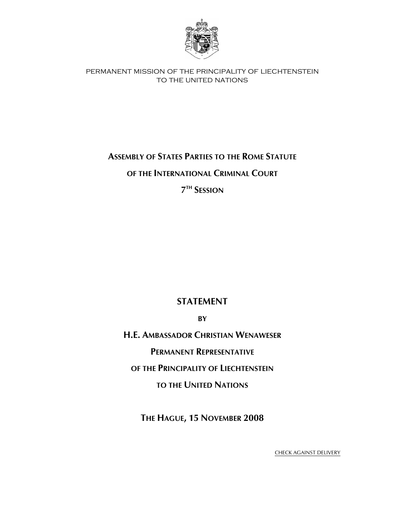

permanent mission of the principality of liechtenstein to the united nations

## **ASSEMBLY OF STATES PARTIES TO THE ROME STATUTE**

**OF THE INTERNATIONAL CRIMINAL COURT**

**7TH SESSION**

## **STATEMENT**

**BY**

**H.E. AMBASSADOR CHRISTIAN WENAWESER**

**PERMANENT REPRESENTATIVE**

**OF THE PRINCIPALITY OF LIECHTENSTEIN**

**TO THE UNITED NATIONS**

**THE HAGUE, 15 NOVEMBER 2008** 

CHECK AGAINST DELIVERY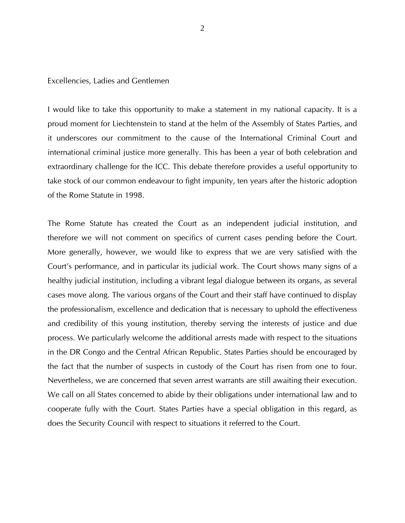## Excellencies, Ladies and Gentlemen

I would like to take this opportunity to make a statement in my national capacity. It is a proud moment for Liechtenstein to stand at the helm of the Assembly of States Parties, and it underscores our commitment to the cause of the International Criminal Court and international criminal justice more generally. This has been a year of both celebration and extraordinary challenge for the ICC. This debate therefore provides a useful opportunity to take stock of our common endeavour to fight impunity, ten years after the historic adoption of the Rome Statute in 1998.

The Rome Statute has created the Court as an independent judicial institution, and therefore we will not comment on specifics of current cases pending before the Court. More generally, however, we would like to express that we are very satisfied with the Court's performance, and in particular its judicial work. The Court shows many signs of a healthy judicial institution, including a vibrant legal dialogue between its organs, as several cases move along. The various organs of the Court and their staff have continued to display the professionalism, excellence and dedication that is necessary to uphold the effectiveness and credibility of this young institution, thereby serving the interests of justice and due process. We particularly welcome the additional arrests made with respect to the situations in the DR Congo and the Central African Republic. States Parties should be encouraged by the fact that the number of suspects in custody of the Court has risen from one to four. Nevertheless, we are concerned that seven arrest warrants are still awaiting their execution. We call on all States concerned to abide by their obligations under international law and to cooperate fully with the Court. States Parties have a special obligation in this regard, as does the Security Council with respect to situations it referred to the Court.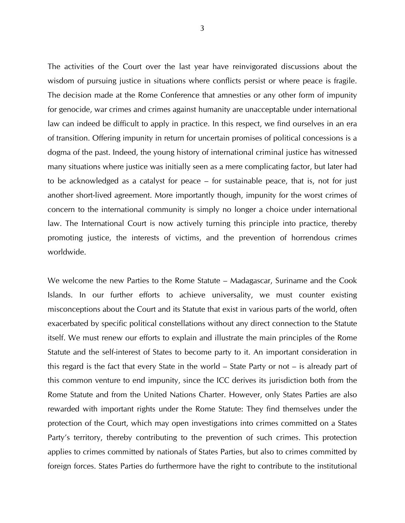The activities of the Court over the last year have reinvigorated discussions about the wisdom of pursuing justice in situations where conflicts persist or where peace is fragile. The decision made at the Rome Conference that amnesties or any other form of impunity for genocide, war crimes and crimes against humanity are unacceptable under international law can indeed be difficult to apply in practice. In this respect, we find ourselves in an era of transition. Offering impunity in return for uncertain promises of political concessions is a dogma of the past. Indeed, the young history of international criminal justice has witnessed many situations where justice was initially seen as a mere complicating factor, but later had to be acknowledged as a catalyst for peace – for sustainable peace, that is, not for just another short-lived agreement. More importantly though, impunity for the worst crimes of concern to the international community is simply no longer a choice under international law. The International Court is now actively turning this principle into practice, thereby promoting justice, the interests of victims, and the prevention of horrendous crimes worldwide.

We welcome the new Parties to the Rome Statute – Madagascar, Suriname and the Cook Islands. In our further efforts to achieve universality, we must counter existing misconceptions about the Court and its Statute that exist in various parts of the world, often exacerbated by specific political constellations without any direct connection to the Statute itself. We must renew our efforts to explain and illustrate the main principles of the Rome Statute and the self-interest of States to become party to it. An important consideration in this regard is the fact that every State in the world – State Party or not – is already part of this common venture to end impunity, since the ICC derives its jurisdiction both from the Rome Statute and from the United Nations Charter. However, only States Parties are also rewarded with important rights under the Rome Statute: They find themselves under the protection of the Court, which may open investigations into crimes committed on a States Party's territory, thereby contributing to the prevention of such crimes. This protection applies to crimes committed by nationals of States Parties, but also to crimes committed by foreign forces. States Parties do furthermore have the right to contribute to the institutional